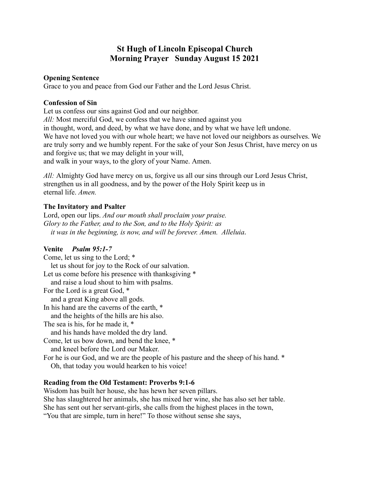# **St Hugh of Lincoln Episcopal Church Morning Prayer Sunday August 15 2021**

#### **Opening Sentence**

Grace to you and peace from God our Father and the Lord Jesus Christ.

#### **Confession of Sin**

Let us confess our sins against God and our neighbor.

*All:* Most merciful God, we confess that we have sinned against you in thought, word, and deed, by what we have done, and by what we have left undone. We have not loved you with our whole heart; we have not loved our neighbors as ourselves. We are truly sorry and we humbly repent. For the sake of your Son Jesus Christ, have mercy on us and forgive us; that we may delight in your will,

and walk in your ways, to the glory of your Name. Amen.

*All:* Almighty God have mercy on us, forgive us all our sins through our Lord Jesus Christ, strengthen us in all goodness, and by the power of the Holy Spirit keep us in eternal life. *Amen.*

## **The Invitatory and Psalter**

Lord, open our lips. *And our mouth shall proclaim your praise. Glory to the Father, and to the Son, and to the Holy Spirit: as it was in the beginning, is now, and will be forever. Amen. Alleluia.*

## **Venite** *Psalm 95:1-7*

Come, let us sing to the Lord; \* let us shout for joy to the Rock of our salvation. Let us come before his presence with thanksgiving  $*$ and raise a loud shout to him with psalms. For the Lord is a great God, \* and a great King above all gods. In his hand are the caverns of the earth, \* and the heights of the hills are his also. The sea is his, for he made it, \* and his hands have molded the dry land. Come, let us bow down, and bend the knee, \* and kneel before the Lord our Maker. For he is our God, and we are the people of his pasture and the sheep of his hand. \* Oh, that today you would hearken to his voice!

## **Reading from the Old Testament: Proverbs 9:1-6**

Wisdom has built her house, she has hewn her seven pillars. She has slaughtered her animals, she has mixed her wine, she has also set her table. She has sent out her servant-girls, she calls from the highest places in the town, "You that are simple, turn in here!" To those without sense she says,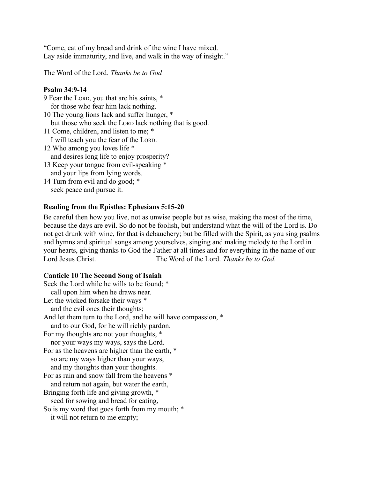"Come, eat of my bread and drink of the wine I have mixed. Lay aside immaturity, and live, and walk in the way of insight."

The Word of the Lord. *Thanks be to God*

## **Psalm 34**:**9-14**

9 Fear the LORD, you that are his saints, \* for those who fear him lack nothing. 10 The young lions lack and suffer hunger, \* but those who seek the LORD lack nothing that is good. 11 Come, children, and listen to me; \* I will teach you the fear of the LORD. 12 Who among you loves life \* and desires long life to enjoy prosperity?

- 13 Keep your tongue from evil-speaking \* and your lips from lying words.
- 14 Turn from evil and do good; \* seek peace and pursue it.

## **Reading from the Epistles: Ephesians 5:15-20**

Be careful then how you live, not as unwise people but as wise, making the most of the time, because the days are evil. So do not be foolish, but understand what the will of the Lord is. Do not get drunk with wine, for that is debauchery; but be filled with the Spirit, as you sing psalms and hymns and spiritual songs among yourselves, singing and making melody to the Lord in your hearts, giving thanks to God the Father at all times and for everything in the name of our Lord Jesus Christ. The Word of the Lord. *Thanks be to God.*

#### **Canticle 10 The Second Song of Isaiah**

Seek the Lord while he wills to be found; \* call upon him when he draws near. Let the wicked forsake their ways  $*$ and the evil ones their thoughts; And let them turn to the Lord, and he will have compassion,  $*$ and to our God, for he will richly pardon. For my thoughts are not your thoughts, \* nor your ways my ways, says the Lord. For as the heavens are higher than the earth, \* so are my ways higher than your ways, and my thoughts than your thoughts. For as rain and snow fall from the heavens \* and return not again, but water the earth, Bringing forth life and giving growth, \* seed for sowing and bread for eating, So is my word that goes forth from my mouth; \* it will not return to me empty;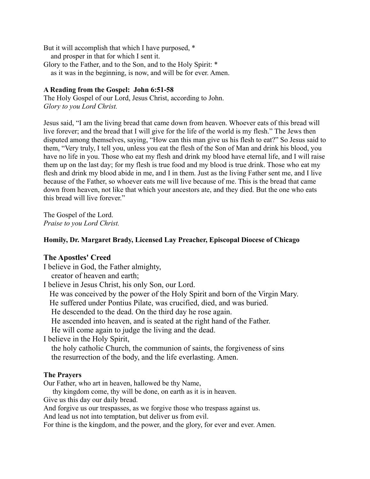But it will accomplish that which I have purposed, \* and prosper in that for which I sent it. Glory to the Father, and to the Son, and to the Holy Spirit: \* as it was in the beginning, is now, and will be for ever. Amen.

#### **A Reading from the Gospel: John 6:51-58**

The Holy Gospel of our Lord, Jesus Christ, according to John. *Glory to you Lord Christ.*

Jesus said, "I am the living bread that came down from heaven. Whoever eats of this bread will live forever; and the bread that I will give for the life of the world is my flesh." The Jews then disputed among themselves, saying, "How can this man give us his flesh to eat?" So Jesus said to them, "Very truly, I tell you, unless you eat the flesh of the Son of Man and drink his blood, you have no life in you. Those who eat my flesh and drink my blood have eternal life, and I will raise them up on the last day; for my flesh is true food and my blood is true drink. Those who eat my flesh and drink my blood abide in me, and I in them. Just as the living Father sent me, and I live because of the Father, so whoever eats me will live because of me. This is the bread that came down from heaven, not like that which your ancestors ate, and they died. But the one who eats this bread will live forever."

The Gospel of the Lord. *Praise to you Lord Christ.*

### **Homily, Dr. Margaret Brady, Licensed Lay Preacher, Episcopal Diocese of Chicago**

#### **The Apostles' Creed**

I believe in God, the Father almighty,

creator of heaven and earth;

I believe in Jesus Christ, his only Son, our Lord.

He was conceived by the power of the Holy Spirit and born of the Virgin Mary.

He suffered under Pontius Pilate, was crucified, died, and was buried.

He descended to the dead. On the third day he rose again.

He ascended into heaven, and is seated at the right hand of the Father.

He will come again to judge the living and the dead.

I believe in the Holy Spirit,

the holy catholic Church, the communion of saints, the forgiveness of sins the resurrection of the body, and the life everlasting. Amen.

#### **The Prayers**

Our Father, who art in heaven, hallowed be thy Name,

thy kingdom come, thy will be done, on earth as it is in heaven.

Give us this day our daily bread.

And forgive us our trespasses, as we forgive those who trespass against us.

And lead us not into temptation, but deliver us from evil.

For thine is the kingdom, and the power, and the glory, for ever and ever. Amen.